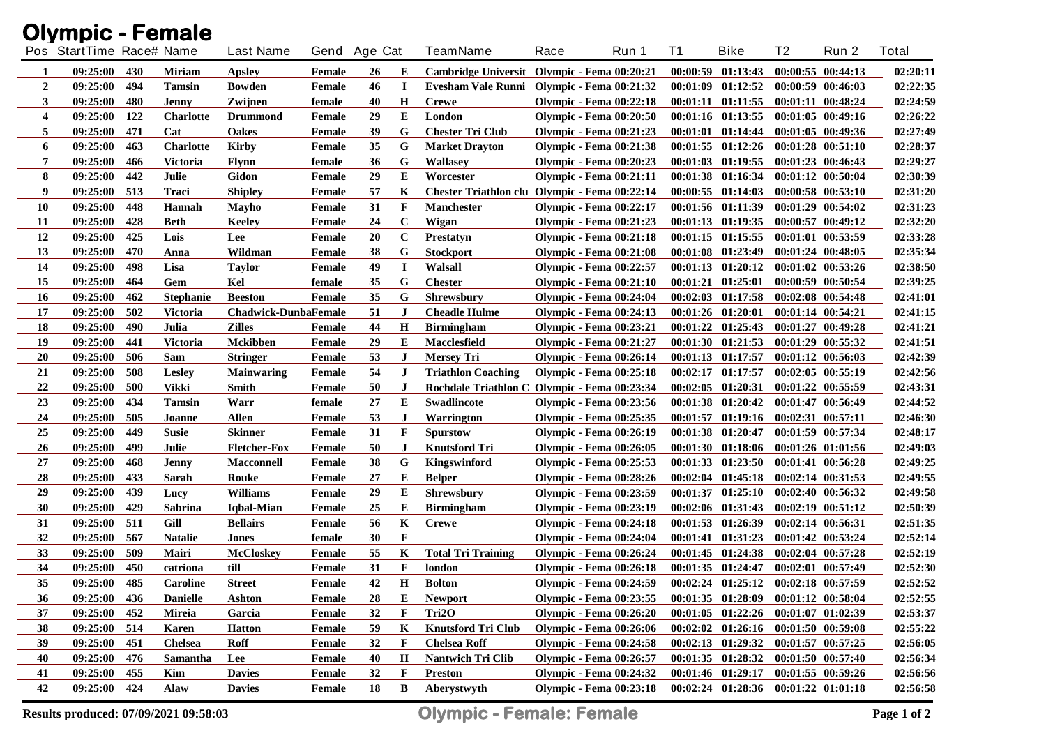|                | <b>Olympic - Female</b>  |     |                  |                             |               |              |              |                                               |      |                                |          |                       |                   |                       |          |
|----------------|--------------------------|-----|------------------|-----------------------------|---------------|--------------|--------------|-----------------------------------------------|------|--------------------------------|----------|-----------------------|-------------------|-----------------------|----------|
|                | Pos StartTime Race# Name |     |                  | <b>Last Name</b>            |               | Gend Age Cat |              | <b>TeamName</b>                               | Race | Run 1                          | T1       | <b>Bike</b>           | T2                | Run 2                 | Total    |
| 1              | 09:25:00                 | 430 | <b>Miriam</b>    | <b>Apsley</b>               | <b>Female</b> | 26           | E            | Cambridge Universit Olympic - Fema 00:20:21   |      |                                |          | 00:00:59 01:13:43     |                   | 00:00:55 00:44:13     | 02:20:11 |
| $\overline{2}$ | 09:25:00                 | 494 | <b>Tamsin</b>    | <b>Bowden</b>               | Female        | 46           | $\bf{I}$     | Evesham Vale Runni Olympic - Fema 00:21:32    |      |                                |          | $00:01:09$ $01:12:52$ |                   | 00:00:59 00:46:03     | 02:22:35 |
| 3              | 09:25:00                 | 480 | Jenny            | Zwijnen                     | female        | 40           | $\mathbf H$  | <b>Crewe</b>                                  |      | <b>Olympic - Fema 00:22:18</b> |          | 00:01:11 01:11:55     |                   | 00:01:11 00:48:24     | 02:24:59 |
| 4              | 09:25:00                 | 122 | <b>Charlotte</b> | <b>Drummond</b>             | <b>Female</b> | 29           | E            | London                                        |      | <b>Olympic - Fema 00:20:50</b> |          | 00:01:16 01:13:55     |                   | 00:01:05 00:49:16     | 02:26:22 |
| 5              | 09:25:00                 | 471 | Cat              | <b>Oakes</b>                | <b>Female</b> | 39           | G            | <b>Chester Tri Club</b>                       |      | <b>Olympic - Fema 00:21:23</b> |          | $00:01:01$ $01:14:44$ |                   | 00:01:05 00:49:36     | 02:27:49 |
| 6              | 09:25:00                 | 463 | <b>Charlotte</b> | <b>Kirby</b>                | Female        | 35           | G            | <b>Market Drayton</b>                         |      | <b>Olympic - Fema 00:21:38</b> |          | $00:01:55$ $01:12:26$ |                   | 00:01:28 00:51:10     | 02:28:37 |
| 7              | 09:25:00                 | 466 | <b>Victoria</b>  | <b>Flynn</b>                | female        | 36           | G            | <b>Wallasey</b>                               |      | <b>Olympic - Fema 00:20:23</b> | 00:01:03 | 01:19:55              |                   | 00:01:23 00:46:43     | 02:29:27 |
| 8              | 09:25:00                 | 442 | Julie            | <b>Gidon</b>                | <b>Female</b> | 29           | E            | Worcester                                     |      | <b>Olympic - Fema 00:21:11</b> |          | 00:01:38 01:16:34     |                   | 00:01:12 00:50:04     | 02:30:39 |
| 9              | 09:25:00                 | 513 | Traci            | <b>Shipley</b>              | <b>Female</b> | 57           | K            | Chester Triathlon clu Olympic - Fema 00:22:14 |      |                                |          | $00:00:55$ $01:14:03$ |                   | 00:00:58 00:53:10     | 02:31:20 |
| 10             | 09:25:00                 | 448 | <b>Hannah</b>    | Mayho                       | <b>Female</b> | 31           | F            | Manchester                                    |      | <b>Olympic - Fema 00:22:17</b> |          | 00:01:56 01:11:39     |                   | 00:01:29 00:54:02     | 02:31:23 |
| 11             | 09:25:00                 | 428 | <b>Beth</b>      | <b>Keeley</b>               | Female        | 24           | $\bf C$      | Wigan                                         |      | <b>Olympic - Fema 00:21:23</b> |          | 00:01:13 01:19:35     |                   | 00:00:57 00:49:12     | 02:32:20 |
| 12             | 09:25:00                 | 425 | Lois             | Lee                         | <b>Female</b> | 20           | $\mathbf C$  | <b>Prestatyn</b>                              |      | <b>Olympic - Fema 00:21:18</b> |          | $00:01:15$ $01:15:55$ |                   | 00:01:01 00:53:59     | 02:33:28 |
| 13             | 09:25:00                 | 470 | Anna             | Wildman                     | Female        | 38           | G            | <b>Stockport</b>                              |      | <b>Olympic - Fema 00:21:08</b> |          | 00:01:08 01:23:49     |                   | $00:01:24$ $00:48:05$ | 02:35:34 |
| 14             | 09:25:00                 | 498 | Lisa             | <b>Taylor</b>               | <b>Female</b> | 49           | $\bf{I}$     | Walsall                                       |      | <b>Olympic - Fema 00:22:57</b> |          | 00:01:13 01:20:12     |                   | 00:01:02 00:53:26     | 02:38:50 |
| 15             | 09:25:00                 | 464 | Gem              | Kel                         | female        | 35           | G            | <b>Chester</b>                                |      | <b>Olympic - Fema 00:21:10</b> |          | $00:01:21$ $01:25:01$ |                   | 00:00:59 00:50:54     | 02:39:25 |
| 16             | 09:25:00                 | 462 | <b>Stephanie</b> | <b>Beeston</b>              | <b>Female</b> | 35           | G            | <b>Shrewsbury</b>                             |      | <b>Olympic - Fema 00:24:04</b> |          | $00:02:03$ $01:17:58$ |                   | $00:02:08$ $00:54:48$ | 02:41:01 |
| 17             | 09:25:00                 | 502 | <b>Victoria</b>  | <b>Chadwick-DunbaFemale</b> |               | 51           | $\bf J$      | <b>Cheadle Hulme</b>                          |      | <b>Olympic - Fema 00:24:13</b> |          | $00:01:26$ $01:20:01$ |                   | $00:01:14$ $00:54:21$ | 02:41:15 |
| 18             | 09:25:00                 | 490 | Julia            | <b>Zilles</b>               | Female        | 44           | $\mathbf H$  | <b>Birmingham</b>                             |      | <b>Olympic - Fema 00:23:21</b> |          | $00:01:22$ $01:25:43$ |                   | $00:01:27$ $00:49:28$ | 02:41:21 |
| 19             | 09:25:00                 | 441 | <b>Victoria</b>  | <b>Mckibben</b>             | Female        | 29           | E            | Macclesfield                                  |      | <b>Olympic - Fema 00:21:27</b> |          | $00:01:30$ $01:21:53$ |                   | 00:01:29 00:55:32     | 02:41:51 |
| 20             | 09:25:00                 | 506 | Sam              | <b>Stringer</b>             | Female        | 53           | J            | <b>Mersey Tri</b>                             |      | <b>Olympic - Fema 00:26:14</b> |          | $00:01:13$ $01:17:57$ |                   | $00:01:12$ $00:56:03$ | 02:42:39 |
| 21             | 09:25:00                 | 508 | <b>Lesley</b>    | <b>Mainwaring</b>           | Female        | 54           | $\bf J$      | <b>Triathlon Coaching</b>                     |      | <b>Olympic - Fema 00:25:18</b> |          | $00:02:17$ $01:17:57$ |                   | $00:02:05$ $00:55:19$ | 02:42:56 |
| 22             | 09:25:00                 | 500 | <b>Vikki</b>     | <b>Smith</b>                | Female        | 50           | $\bf J$      | Rochdale Triathlon C Olympic - Fema 00:23:34  |      |                                |          | $00:02:05$ $01:20:31$ |                   | $00:01:22$ $00:55:59$ | 02:43:31 |
| 23             | 09:25:00                 | 434 | <b>Tamsin</b>    | Warr                        | female        | 27           | E            | Swadlincote                                   |      | <b>Olympic - Fema 00:23:56</b> |          | $00:01:38$ $01:20:42$ |                   | 00:01:47 00:56:49     | 02:44:52 |
| 24             | 09:25:00                 | 505 | Joanne           | <b>Allen</b>                | <b>Female</b> | 53           | J            | Warrington                                    |      | <b>Olympic - Fema 00:25:35</b> |          | $00:01:57$ $01:19:16$ |                   | 00:02:31 00:57:11     | 02:46:30 |
| 25             | 09:25:00                 | 449 | <b>Susie</b>     | <b>Skinner</b>              | Female        | 31           | F            | <b>Spurstow</b>                               |      | <b>Olympic - Fema 00:26:19</b> |          | 00:01:38 01:20:47     |                   | 00:01:59 00:57:34     | 02:48:17 |
| 26             | 09:25:00                 | 499 | Julie            | <b>Fletcher-Fox</b>         | Female        | 50           | $\bf J$      | <b>Knutsford Tri</b>                          |      | <b>Olympic - Fema 00:26:05</b> |          | 00:01:30 01:18:06     |                   | 00:01:26 01:01:56     | 02:49:03 |
| 27             | 09:25:00                 | 468 | <b>Jenny</b>     | <b>Macconnell</b>           | Female        | 38           | G            | Kingswinford                                  |      | <b>Olympic - Fema 00:25:53</b> |          | $00:01:33$ $01:23:50$ |                   | 00:01:41 00:56:28     | 02:49:25 |
| 28             | 09:25:00                 | 433 | Sarah            | <b>Rouke</b>                | Female        | 27           | Е            | <b>Belper</b>                                 |      | <b>Olympic - Fema 00:28:26</b> |          | $00:02:04$ $01:45:18$ |                   | $00:02:14$ $00:31:53$ | 02:49:55 |
| 29             | 09:25:00                 | 439 | Lucy             | <b>Williams</b>             | Female        | 29           | E            | <b>Shrewsbury</b>                             |      | <b>Olympic - Fema 00:23:59</b> |          | $00:01:37$ $01:25:10$ |                   | 00:02:40 00:56:32     | 02:49:58 |
| 30             | 09:25:00                 | 429 | Sabrina          | Iqbal-Mian                  | Female        | 25           | Е            | <b>Birmingham</b>                             |      | <b>Olympic - Fema 00:23:19</b> |          | 00:02:06 01:31:43     |                   | $00:02:19$ $00:51:12$ | 02:50:39 |
| 31             | 09:25:00                 | 511 | Gill             | <b>Bellairs</b>             | <b>Female</b> | 56           | K            | <b>Crewe</b>                                  |      | <b>Olympic - Fema 00:24:18</b> |          | 00:01:53 01:26:39     |                   | 00:02:14 00:56:31     | 02:51:35 |
| 32             | 09:25:00                 | 567 | <b>Natalie</b>   | <b>Jones</b>                | female        | 30           | $\mathbf F$  |                                               |      | <b>Olympic - Fema 00:24:04</b> |          | 00:01:41 01:31:23     |                   | 00:01:42 00:53:24     | 02:52:14 |
| 33             | 09:25:00                 | 509 | Mairi            | <b>McCloskey</b>            | Female        | 55           | K            | <b>Total Tri Training</b>                     |      | <b>Olympic - Fema 00:26:24</b> |          | $00:01:45$ $01:24:38$ |                   | $00:02:04$ $00:57:28$ | 02:52:19 |
| 34             | 09:25:00                 | 450 | catriona         | till                        | <b>Female</b> | 31           | F            | london                                        |      | <b>Olympic - Fema 00:26:18</b> |          | 00:01:35 01:24:47     |                   | 00:02:01 00:57:49     | 02:52:30 |
| 35             | 09:25:00                 | 485 | Caroline         | <b>Street</b>               | Female        | 42           | $\mathbf H$  | <b>Bolton</b>                                 |      | <b>Olympic - Fema 00:24:59</b> |          | $00:02:24$ $01:25:12$ | 00:02:18 00:57:59 |                       | 02:52:52 |
| 36             | 09:25:00                 | 436 | <b>Danielle</b>  | Ashton                      | Female        | 28           | Е            | <b>Newport</b>                                |      | <b>Olympic - Fema 00:23:55</b> |          | 00:01:35 01:28:09     |                   | 00:01:12 00:58:04     | 02:52:55 |
| 37             | 09:25:00                 | 452 | Mireia           | Garcia                      | Female        | 32           | F            | Tri2O                                         |      | <b>Olympic - Fema 00:26:20</b> |          | $00:01:05$ $01:22:26$ |                   | 00:01:07 01:02:39     | 02:53:37 |
| 38             | 09:25:00                 | 514 | <b>Karen</b>     | <b>Hatton</b>               | Female        | 59           | K            | <b>Knutsford Tri Club</b>                     |      | <b>Olympic - Fema 00:26:06</b> |          | $00:02:02$ $01:26:16$ |                   | 00:01:50 00:59:08     | 02:55:22 |
| 39             | 09:25:00                 | 451 | <b>Chelsea</b>   | <b>Roff</b>                 | Female        | 32           | $\mathbf{F}$ | <b>Chelsea Roff</b>                           |      | <b>Olympic - Fema 00:24:58</b> |          | $00:02:13$ $01:29:32$ |                   | 00:01:57 00:57:25     | 02:56:05 |
| 40             | 09:25:00                 | 476 | <b>Samantha</b>  | Lee                         | Female        | 40           | $\mathbf H$  | <b>Nantwich Tri Clib</b>                      |      | <b>Olympic - Fema 00:26:57</b> |          | $00:01:35$ $01:28:32$ |                   | 00:01:50 00:57:40     | 02:56:34 |
| 41             | 09:25:00                 | 455 | Kim              | <b>Davies</b>               | Female        | 32           | $\mathbf{F}$ | <b>Preston</b>                                |      | <b>Olympic - Fema 00:24:32</b> |          | 00:01:46 01:29:17     |                   | 00:01:55 00:59:26     | 02:56:56 |
| 42             | 09:25:00                 | 424 | Alaw             | <b>Davies</b>               | Female        | 18           | B            | Aberystwyth                                   |      | <b>Olympic - Fema 00:23:18</b> |          | $00:02:24$ $01:28:36$ |                   | 00:01:22 01:01:18     | 02:56:58 |